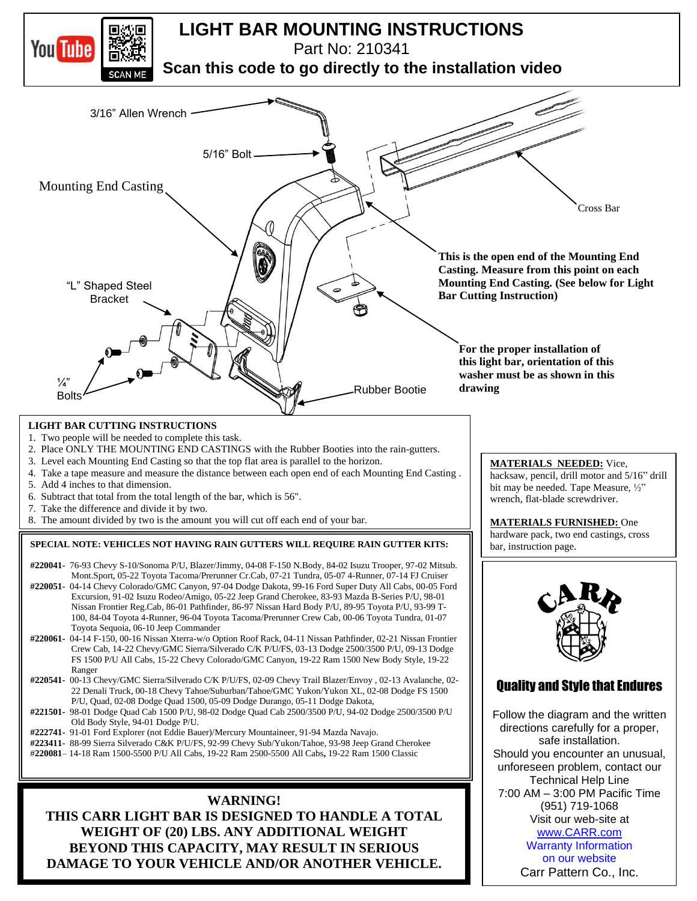

**WEIGHT OF (20) LBS. ANY ADDITIONAL WEIGHT BEYOND THIS CAPACITY, MAY RESULT IN SERIOUS DAMAGE TO YOUR VEHICLE AND/OR ANOTHER VEHICLE.**

## on our website Carr Pattern Co., Inc.

Warranty Information